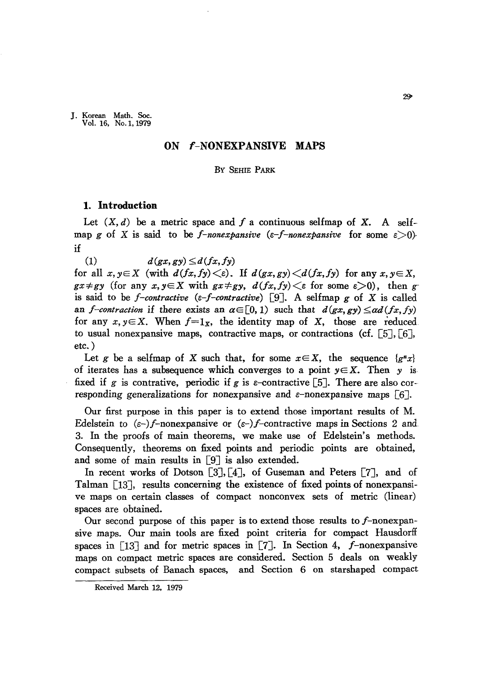J. Korean Math. Soc. Vol. 16, No. I, 1979

# **ON f-NONEXPANSIVE MAPS**

#### By SEHIE PARK

# **1. Introduction**

Let  $(X, d)$  be a metric space and f a continuous selfmap of X. A selfmap *g* of X is said to be *f-nonexpansive* ( $\varepsilon$ -*f-nonexpansive* for some  $\varepsilon$ >0) if

(1)  $d(gx, gy) \le d(fx, fy)$ 

for all  $x, y \in X$  (with  $d(fx, fy) \leq \varepsilon$ ). If  $d(gx, gy) \leq d(fx, fy)$  for any  $x, y \in X$ ,  $gx \neq gy$  (for any  $x, y \in X$  with  $gx \neq gy$ ,  $d(fx, fy) \leq \varepsilon$  for some  $\varepsilon > 0$ ), then *g*is said to be *f-contractive*  $(\epsilon-f-contractive)$  [9]. A selfmap *g* of X is called an *f-contraction* if there exists an  $\alpha \in [0, 1)$  such that  $d(gx, gy) \leq \alpha d(fx, fy)$ for any  $x, y \in X$ . When  $f=1_x$ , the identity map of X, those are reduced to usual nonexpansive maps, contractive maps, or contractions (cf.  $\lceil 5 \rceil$ ,  $\lceil 6 \rceil$ , etc. )

Let *g* be a selfmap of X such that, for some  $x \in X$ , the sequence  ${g^*x}$ of iterates has a subsequence which converges to a point  $y \in X$ . Then y is fixed if g is contrative, periodic if g is e-contractive [5]. There are also corresponding generalizations for nonexpansive and  $\varepsilon$ -nonexpansive maps [6].

Our first purpose in this paper is to extend those important results of M. Edelstein to *(e-)f-nonexpansive* or *(e-)f-contractive* maps in Sections 2 and 3. In the proofs of main theorems, we make use of Edelstein's methods. Consequently, theorems on fixed points and periodic points are obtained, and some of main results in  $[9]$  is also extended.

In recent works of Dotson [3], [4], of Guseman and Peters [7], and of Talman  $\lceil 13 \rceil$ , results concerning the existence of fixed points of nonexpansive maps on certain classes of compact nonconvex sets of metric (linear) spaces are obtained.

Our second purpose of this paper is to extend those results to f-nonexpansive maps. Our main tools are fixed point criteria for compact Hausdorff spaces in  $\lceil 13 \rceil$  and for metric spaces in  $\lceil 7 \rceil$ . In Section 4, f-nonexpansive maps on compact metric spaces are considered. Section 5 deals on weakly compact subsets of Banach spaces, and Section 6 on starshaped compact

Received March 12, 1979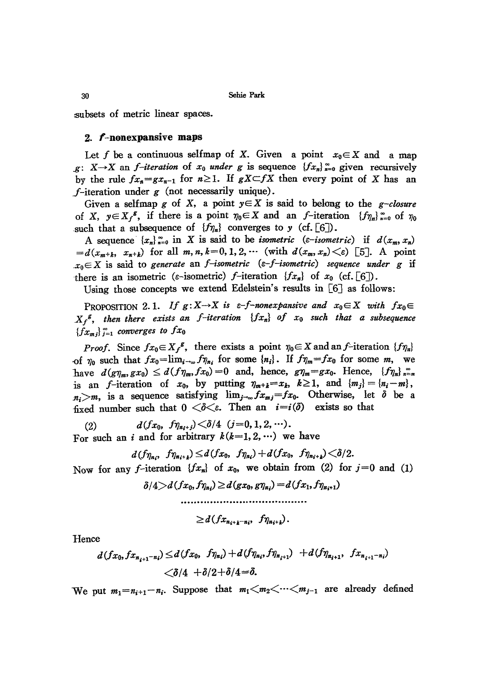subsets of metric linear spaces.

## 2. f-nonexpansive maps

Let f be a continuous selfmap of X. Given a point  $x_0 \in X$  and a map  $g: X \rightarrow X$  an *f-iteration* of  $x_0$  *under*  $g$  is sequence  ${f.x_n}$   $\underset{n=0}{\cong}$  given recursively by the rule  $fx_n = gx_{n-1}$  for  $n \ge 1$ . If  $gX \subset fX$  then every point of X has an f-iteration under  $g$  (not necessarily unique).

Given a selfmap *g* of *X*, a point  $y \in X$  is said to belong to the *g-closure* of X,  $y \in X_f^g$ , if there is a point  $\eta_0 \in X$  and an f-iteration  $\{f\eta_n\}_{n=0}^{\infty}$  of  $\eta_0$ such that a subsequence of  $\{f_{\eta_n}\}\$  converges to *y* (cf. [6]).

A sequence  ${x_n}_{n=0}^{\infty}$  in X is said to be *isometric* ( $\varepsilon$ -*isometric*) if  $d(x_m, x_n)$  $= d(x_{m+k}, x_{n+k})$  for all  $m, n, k = 0, 1, 2, \cdots$  (with  $d(x_m, x_n) \leq \epsilon$ ) [5]. A point  $x_0 \in X$  is said to *generate* an *f-isometric* ( $\varepsilon$ -*f-isometric*) *sequence under g* if there is an isometric ( $\varepsilon$ -isometric)  $f$ -iteration  $\{fx_n\}$  of  $x_0$  (cf. [6]).

Using those concepts we extend Edelstein's results in [6] as follows:

PROPOSITION 2.1. If  $g: X \to X$  is  $\varepsilon$ -f-nonexpansive and  $x_0 \in X$  with  $f x_0 \in$  $X_f$ <sup>g</sup>, then there exists an *f*-iteration  ${f_x_n}$  of  $x_0$  such that a subsequence  ${f_x}_{m,i}$ <sup> $\}$ </sup> $i=1$  *converges to*  $fx_0$ 

*Proof.* Since  $fx_0 \in X_f^g$ , there exists a point  $\eta_0 \in X$  and an *f*-iteration  $\{f\eta_n\}$ -of  $\eta_0$  such that  $fx_0=\lim_{i\to\infty}f\eta_{n_i}$  for some  $\{n_i\}$ . If  $f\eta_m=fx_0$  for some *m*, we have  $d(g\eta_m, gx_0) \leq d(f\eta_m, fx_0) = 0$  and, hence,  $g\eta_m = gx_0$ . Hence,  $\{f\eta_n\}_{n=m}^{\infty}$ is an f-iteration of  $x_0$ , by putting  $\eta_{m+k}=x_k$ ,  $k\geq 1$ , and  $\{m_j\}=\{n_i-m\}$ ,  $n_i > m$ , is a sequence satisfying  $\lim_{j\to\infty} f_{x_{mj}} = f_{x_0}$ . Otherwise, let  $\delta$  be a fixed number such that  $0 < \delta < \varepsilon$ . Then an  $i = i(\delta)$  exists so that

 $d(f_{x_0}, f_{\eta_{n_i+j}}) < \delta/4$  (j=0, 1, 2, …).

For such an *i* and for arbitrary  $k(k=1,2,\cdots)$  we have

$$
d(f_{\eta_{n_i}}, f_{\eta_{n_i+k}}) \leq d(f_{x_0}, f_{\eta_{n_i}}) + d(f_{x_0}, f_{\eta_{n_i+k}}) < \delta/2.
$$

Now for any f-iteration  $\{fx_n\}$  of  $x_0$ , we obtain from (2) for  $j=0$  and (1)

```
\delta/4 \geq d(fx_0, f\eta_{n_i}) \geq d(gx_0, g\eta_{n_i}) = d(fx_1, f\eta_{n_i+1})
```

$$
\geq d(fx_{n_{i+k}-n_{i}},\ f\eta_{n_{i+k}}).
$$

Hence

$$
d(fx_0, fx_{n_{i+1}-n_i}) \leq d(fx_0, \ f\eta_{n_i}) + d(f\eta_{n_i}, f\eta_{n_{i+1}}) + d(f\eta_{n_{i+1}}, \ fx_{n_{i+1}-n_i}) < \delta/4 + \delta/2 + \delta/4 = \delta.
$$

We put  $m_1=n_{i+1}-n_i$ . Suppose that  $m_1\leq m_2\leq \cdots \leq m_{j-1}$  are already defined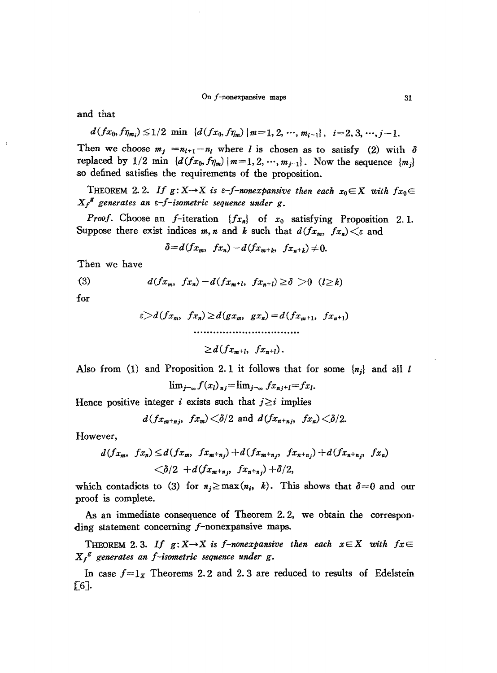#### On  $f$ -nonexpansive maps  $31$

and that

$$
d(fx_0, f\eta_{m_i}) \leq 1/2 \min \{d(fx_0, f\eta_m) \mid m=1, 2, \cdots, m_{i-1}\}, i=2, 3, \cdots, j-1.
$$

Then we choose  $m_j = n_{l+1} - n_l$  where *l* is chosen as to satisfy (2) with  $\delta$ replaced by  $1/2$  min  $\{d(fx_0, f\eta_m) | m=1, 2, \cdots, m_{i-1}\}$ . Now the sequence  $\{m_i\}$ so defined satisfies the requirements of the proposition.

THEOREM 2.2. If  $g: X \to X$  is  $\varepsilon$ -f-nonexpansive then each  $x_0 \in X$  with  $f_{x_0} \in$ *X* f <sup>g</sup> *generates an e-f-isometric sequence under* g.

*Proof.* Choose an f-iteration  $\{fx_n\}$  of  $x_0$  satisfying Proposition 2.1. Suppose there exist indices *m*, *n* and *k* such that  $d(f_{x_m}, f_{x_n}) \leq \varepsilon$  and

$$
\delta=d(fx_m,\ fx_n)-d(fx_{m+k},\ fx_{n+k})\neq 0.
$$

Then we have

(3) 
$$
d(fx_m, fx_n) - d(fx_{m+l}, fx_{n+l}) \ge \delta > 0 \quad (l \ge k)
$$

for

$$
\varepsilon > d(fx_m, fx_n) \geq d(gx_m, gx_n) = d(fx_{m+1}, fx_{n+1})
$$
  
.................

 $\geq d(fx_{m+l}, fx_{n+l}).$ 

Also from (1) and Proposition 2. 1 it follows that for some *{nj}* and all *1*

$$
\lim_{j\to\infty} f(x_l)_{nj} = \lim_{j\to\infty} fx_{nj+l} = fx_l.
$$

Hence positive integer *i* exists such that  $j \ge i$  implies

$$
d(fx_{m+nj}, fx_m) < \delta/2
$$
 and  $d(fx_{n+nj}, fx_n) < \delta/2$ .

However,

$$
d(f_{x_m}, f_{x_n}) \leq d(f_{x_m}, f_{x_{m+n_j}}) + d(f_{x_{m+n_j}}, f_{x_{n+n_j}}) + d(f_{x_{n+n_j}}, f_{x_n}) < \delta/2 + d(f_{x_{m+n_j}}, f_{x_{n+n_j}}) + \delta/2,
$$

which contadicts to (3) for  $n_i \ge \max(n_i, k)$ . This shows that  $\delta = 0$  and our proof is complete.

As an immediate consequence of Theorem 2.2, we obtain the corresponding statement concerning f-nonexpansive maps.

THEOREM 2.3. If  $g: X \rightarrow X$  is *f*-nonexpansive then each  $x \in X$  with  $fx \in Y$ *X*f <sup>g</sup> *generates an f-isometric sequence under* g.

In case  $f = 1_x$  Theorems 2.2 and 2.3 are reduced to results of Edelstein  $\lceil 6 \rceil$ .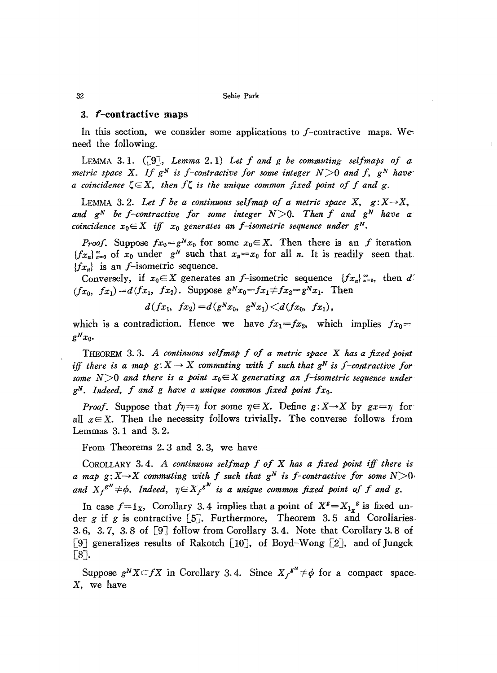## 3. f-contractive maps

In this section, we consider some applications to  $f$ -contractive maps. We need the following.

LEMMA 3.1.  $([9]$ , *Lemma 2.1) Let*  $f$  *and*  $g$  *be commuting selfmaps of a metric space* X. If  $g^N$  *is f*-contractive for some *integer*  $N>0$  *and*  $f$ ,  $g^N$  *have a coincidence*  $\zeta \in X$ , *then*  $f\zeta$  *is the unique common fixed point of f and* g.

LEMMA 3.2. Let  $f$  be a continuous selfmap of a metric space  $X$ ,  $g: X \rightarrow X$ , *and*  $g^N$  *be f*-contractive for some integer  $N>0$ . Then *f* and  $g^N$  have a *coincidence*  $x_0 \in X$  *iff*  $x_0$  *generates* an *f*-isometric *sequence under*  $g^N$ .

*Proof.* Suppose  $fx_0 = g^Nx_0$  for some  $x_0 \in X$ . Then there is an f-iteration  ${f x_n}_{n=0}^{\infty}$  of  $x_0$  under  $g^N$  such that  $x_n=x_0$  for all *n*. It is readily seen that  ${f_x}_n$  is an *f*-isometric sequence.

Conversely, if  $x_0 \in X$  generates an *f*-isometric sequence  $\{fx_n\}_{n=0}^{\infty}$ , then d'  $(f_{x_0}, f_{x_1}) = d(f_{x_1}, f_{x_2})$ . Suppose  $g^N x_0 = f_{x_1} \neq f_{x_2} = g^N x_1$ . Then

 $d(fx_1, fx_2) = d(g^Nx_0, g^Nx_1) \leq d(fx_0, fx_1),$ 

which is a contradiction. Hence we have  $fx_1 = fx_2$ , which implies  $fx_0 =$  $g^N x_0$ .

THEOREM 3. 3. *A continuous selfmap f 0/ a metric space* X *has a fixed point iff* there is a map  $g: X \to X$  commuting with f such that  $g^N$  is f-contractive for some  $N>0$  and there is a point  $x_0 \in X$  generating an *f*-isometric sequence under*gN. Indeed, I and g have a unique common fixed point Ixo.*

*Proof.* Suppose that  $f\eta = \eta$  for some  $\eta \in X$ . Define  $g: X \rightarrow X$  by  $gx = \eta$  for all  $x \in X$ . Then the necessity follows trivially. The converse follows from Lemmas 3. 1 and 3. 2.

From Theorems 2.3 and 3.3, we have

COROLLARY 3. 4. *A continuous sel/map I 01* X *has a fixed point iff there is a* map  $g: X \rightarrow X$  *commuting with f such that*  $g^N$  *is f*-*contractive for some*  $N > 0$ and  $X_f^{gN} \neq \phi$ . Indeed,  $\eta \in X_f^{gN}$  is a unique common fixed point of f and g.

In case  $f=1_x$ , Corollary 3.4 implies that a point of  $X^g=X_{1_x}$ <sup>g</sup> is fixed under  $g$  if  $g$  is contractive [5]. Furthermore, Theorem 3.5 and Corollaries. 3. 6, 3. 7, 3. 8 of [9J follow from Corollary 3.4. Note that Corollary 3. 8 of [9] generalizes results of Rakotch [10], of Boyd-Wong [2], and of Jungck [8J.

Suppose  $g^N X \subset fX$  in Corollary 3.4. Since  $X_f^{g^N} \neq \phi$  for a compact space. X, we have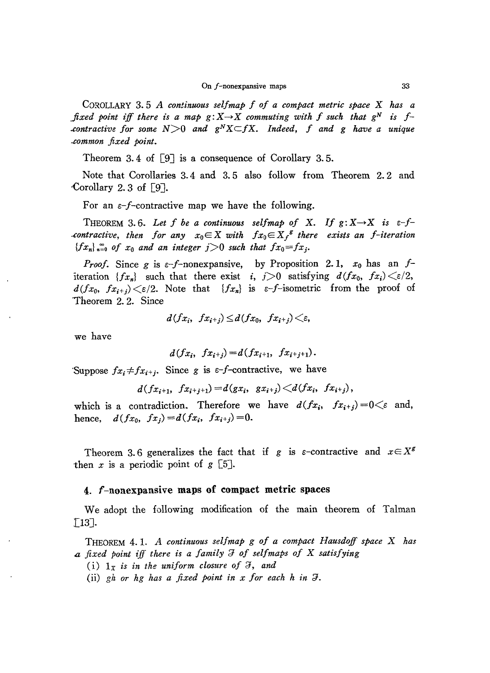COROLLARY 3. 5 *A continMUS selfmap f of a compact metric space* X *has a fixed point iff there is a map*  $g: X \rightarrow X$  *commuting with f such that*  $g^N$  *is fcontractive* for some  $N>0$  and  $g<sup>N</sup>X\subset fX$ . Indeed, f and g have a unique *..common fixed point.*

Theorem 3.4 of  $\lceil 9 \rceil$  is a consequence of Corollary 3.5.

Note that Corollaries 3.4 and 3. 5 also follow from Theorem 2. 2 and 'Corollary 2. 3 of [9J.

For an  $\varepsilon$ -f-contractive map we have the following.

THEOREM 3.6. Let *f* be a continuous selfmap of X. If  $g: X \rightarrow X$  is  $\varepsilon$ -*fcontractive, then for any*  $x_0 \in X$  *with*  $fx_0 \in X_f^g$  *there exists an f-iteration*  ${f_x}_n$ ,  $\sum_{i=0}^\infty$  *of*  $x_0$  *and an integer*  $j>0$  *such that*  $fx_0=f_x$ .

*Proof.* Since *g* is  $\varepsilon$ -f-nonexpansive, by Proposition 2.1,  $x_0$  has an  $f$ iteration  ${f_x_n}$  such that there exist *i,*  $j>0$  satisfying  $d(f_{x_0}, f_{x_i}) \leq \varepsilon/2$ ,  $d(fx_0, fx_{i+j}) \leq \varepsilon/2$ . Note that  ${fx_n}$  is  $\varepsilon$ -*f*-isometric from the proof of Theorem 2. 2. Since

$$
d(fx_i, fx_{i+j}) \leq d(fx_0, fx_{i+j}) \leq \varepsilon
$$

we have

$$
d(fx_i, fx_{i+j}) = d(fx_{i+1}, fx_{i+j+1}).
$$

'Suppose  $fx_i \neq fx_{i+j}$ . Since g is  $\varepsilon$ -f-contractive, we have

$$
d(f_{x_{i+1}}, f_{x_{i+j+1}}) = d(g_{x_i}, g_{x_{i+j}}) \langle d(f_{x_i}, f_{x_{i+j}}),
$$

which is a contradiction. Therefore we have  $d(fx_i, fx_{i+j}) = 0 \leq \varepsilon$  and, hence,  $d(fx_0, fx_j) = d(fx_i, fx_{i+j}) = 0.$ 

Theorem 3.6 generalizes the fact that if g is  $\varepsilon$ -contractive and  $x \in X^g$ then  $x$  is a periodic point of  $g$  [5].

## 4. f-nonexpansive maps of eompact metric spaces

We adopt the following modification of the main theorem of Talman  $\lceil 13 \rceil$ .

THEOREM 4. 1. *A continuous selfmap g of a compact Hausdoff space* <sup>X</sup> *has* <sup>4</sup> *fixed point iff there is a family* a *of selfmaps of* X *satisfying*

- (i)  $1_x$  *is in the uniform closure of*  $\mathcal{F}$ *, and*
- (ii)  $gh$  or  $hg$  has a fixed point in x for each  $h$  in  $\mathcal{F}$ .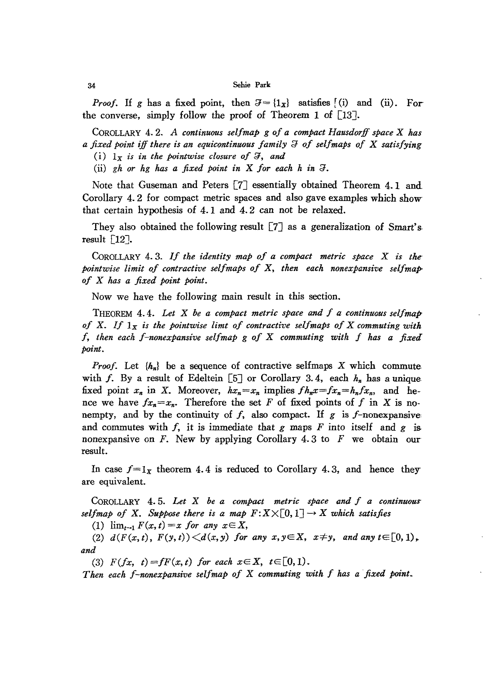*Proof.* If g has a fixed point, then  $\mathcal{F} = \{1_x\}$  satisfies [(i) and (ii). For the converse, simply follow the proof of Theorem 1 of [13J.

COROLLARY 4. 2. *A continuous selfmap* <sup>g</sup> *of a compact Hausdorff space* <sup>X</sup> *has a fixed point* ijf *there is an equicontinuous family* :;} *of selfmaps 0/* X *satisfying*

(i)  $1_x$  *is in the pointwise closure of*  $\mathcal{F}$ *, and* 

(ii)  $gh$  or  $hg$  has a fixed point in X for each  $h$  in  $\Im$ .

Note that Guseman and Peters [7] essentially obtained Theorem 4. 1 and Corollary 4. 2 for compact metric spaces and also gave examples which show that certain hypothesis of 4. 1 and 4. 2 can not be relaxed.

They also obtained the following result  $[7]$  as a generalization of Smart's. result [12J.

COROLLARY 4. 3. *If the identity map of <sup>a</sup> compact metric space* <sup>X</sup> *is the-Paintwise limit of contractive selfmaps of* X, *then each nonexpansive selfmap. of* X *has a fixed point point.*

Now we have the following main result in this section.

THEOREM 4.4. *Let* X *be a compact metric space and f a continuous selfmap of* X. *If* Ix *is the pointwise limt of contractive selfmaps of* <sup>X</sup> *commuting with f, then each f-nonexpansive sel/map* <sup>g</sup> *of* X *commuting with* / *has a fixeil point.*

*Proof.* Let  $\{h_n\}$  be a sequence of contractive selfmaps X which commute with f. By a result of Edeltein  $\lceil 5 \rceil$  or Corollary 3.4, each  $h_n$  has a unique fixed point  $x_n$  in X. Moreover,  $hx_n=x_n$  implies  $fh_nx=fx_n=h_nfx_n$ , and hence we have  $fx_n = x_n$ . Therefore the set F of fixed points of f in X is nonempty, and by the continuity of  $f$ , also compact. If  $g$  is  $f$ -nonexpansive and commutes with  $f$ , it is immediate that  $g$  maps  $F$  into itself and  $g$  is nonexpansive on  $F$ . New by applying Corollary 4.3 to  $F$  we obtain our result.

In case  $f=1_x$  theorem 4.4 is reduced to Corollary 4.3, and hence they are equivalent.

COROLLARY 4. 5. *Let* X *be a compact metric space and f a continuouS' selfmap* of X. Suppose there is a map  $F: X \times [0, 1] \rightarrow X$  which satisfies

(1)  $\lim_{t \to 1} F(x, t) = x$  *for any*  $x \in X$ ,

(2)  $d(F(x,t), F(y,t)) \leq d(x,y)$  *for any*  $x, y \in X$ ,  $x \neq y$ , and any  $t \in [0,1)$ , *and*

(3)  $F(fx, t) = fF(x, t)$  *for each*  $x \in X$ ,  $t \in [0, 1)$ .

*Then each f-nonexpansive sel/map of* X *commuting with* / *has a fixed point.*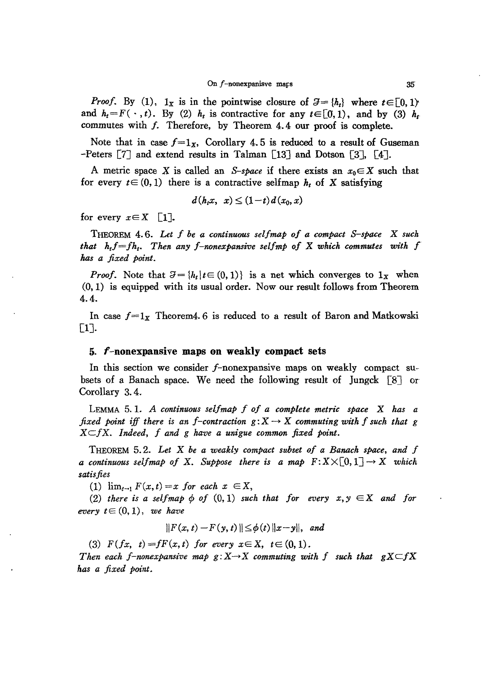*Proof.* By (1),  $1_x$  is in the pointwise closure of  $\mathcal{J} = \{h_t\}$  where  $t \in [0, 1)$ and  $h_t = F(\cdot, t)$ . By (2)  $h_t$  is contractive for any  $t \in [0, 1)$ , and by (3)  $h_t$ commutes with f. Therefore, by Theorem 4. 4 our proof is complete.

Note that in case  $f=1_x$ , Corollary 4.5 is reduced to a result of Guseman -Peters [7J and extend results in Talman [I3J and Dotson [3J, [4J.

A metric space X is called an *S-space* if there exists an  $x_0 \in X$  such that for every  $t \in (0, 1)$  there is a contractive selfmap  $h_t$  of X satisfying

$$
d(h_t x, x) \le (1-t) d(x_0, x)
$$

for every  $x \in X$  [1].

THEOREM 4.6. *Let f be a continuous selfmap of a compact S-space* <sup>X</sup> *such that htf=fht• Then any f-nonexpansive selfmp of* X *which commutes with* f *has a fixed point.*

*Proof.* Note that  $\mathcal{J} = \{h_t | t \in (0, 1)\}\$ is a net which converges to  $1_x$  when (0,1) is equipped with its usual order. Now our result follows from Theorem 4.4.

In case  $f = 1<sub>x</sub>$  Theorem4. 6 is reduced to a result of Baron and Matkowski [lJ.

### *5.* f -nonexpansive **maps on weakly compact** sets

In this section we consider f-nonexpansive maps on weakly compact subsets of a Banach space. We need the following result of Jungck  $\lceil 8 \rceil$  or Corollary 3. 4.

LEMMA 5. 1. A *continuous selfmap* f *of a complete metric space* X *has a fixed point iff* there is an *f*-contraction  $g: X \rightarrow X$  commuting with *f* such that *g*  $X \subseteq fX$ . Indeed,  $f$  and  $g$  have a unigue common fixed point.

THEOREM 5.2. *Let* X *be a weakly compact subset of a Banach space, and f a continuous selfmap of* X. Suppose there *is a map*  $F:X\times[0,1]\to X$  *which satisfies*

(1)  $\lim_{t\to 1} F(x,t) = x$  *for each*  $x \in X$ ,

(2) *there is* a *selfmap*  $\phi$  *of* (0, 1) *such that for every*  $x, y \in X$  *and for every*  $t \in (0,1)$ , *we have* 

$$
||F(x,t)-F(y,t)|| \leq \phi(t) ||x-y||, \text{ and}
$$

(3)  $F(fx, t) = fF(x, t)$  for every  $x \in X$ ,  $t \in (0, 1)$ .

*Then* each *f*-nonexpansive map  $g: X \rightarrow X$  commuting with f such that  $gX \subseteq fX$ *has a fixed point.*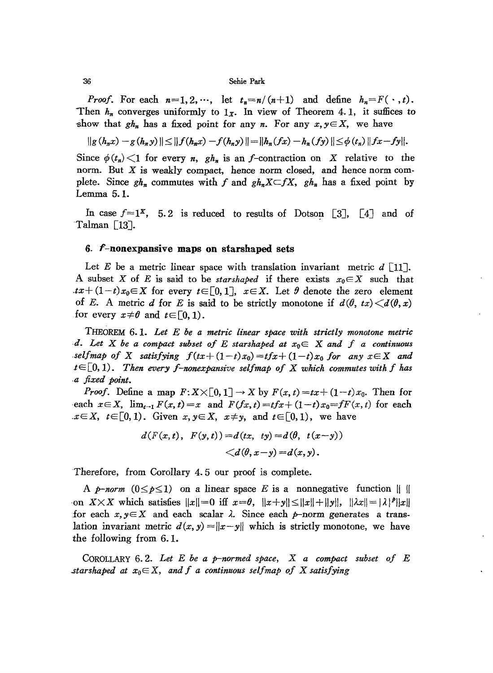*Proof.* For each  $n=1,2,\dots$ , let  $t_n=n/(n+1)$  and define  $h_n=F(\cdot,t)$ . Then  $h_n$  converges uniformly to  $1_x$ . In view of Theorem 4.1, it suffices to show that  $gh_n$  has a fixed point for any *n*. For any  $x, y \in X$ , we have

$$
||g(h_nx)-g(h_ny)|| \leq ||f(h_nx)-f(h_ny)|| = ||h_n(fx)-h_n(fy)|| \leq \phi(t_n)||fx-fy||.
$$

Since  $\phi(t_n) \leq 1$  for every *n*,  $gh_n$  is an *f*-contraction on X relative to the norm. But X is weakly compact, hence norm closed, and hence norm complete. Since  $gh_n$  commutes with f and  $gh_nX\subset fX$ ,  $gh_n$  has a fixed point by Lemma 5.1.

In case  $f=1^x$ , 5.2 is reduced to results of Dotson [3], [4] and of Talman [13J.

## 6. f-nonexpansive **maps on** starshaped sets

Let E be a metric linear space with translation invariant metric  $d \in [11]$ . A subset *X* of *E* is said to be *starshaped* if there exists  $x_0 \in X$  such that *tx*+ $(1-t)x_0 \in X$  for every  $t \in [0,1]$ ,  $x \in X$ . Let  $\theta$  denote the zero element of E. A metric d for E is said to be strictly monotone if  $d(\theta, tx) \leq d(\theta, x)$ for every  $x \neq \theta$  and  $t \in [0, 1)$ .

THEOREM 6. 1. *Let* E *he a metric linear space with strictly monotone metric ·d. Let* X *he a compact subset of* E *starshaped at* xoE X *and f a continuous selfmap* of X *satisfying*  $f(tx+(1-t)x_0)=tfx+(1-t)x_0$  *for* any  $x \in X$  and *tE[O,* 1). *Then every f-nonexpansive selfmap of* X *which commutes with* / *has ·a fixed polnt.*

*Proof.* Define a map  $F: X \times [0, 1] \rightarrow X$  by  $F(x, t) = tx + (1-t)x_0$ . Then for each  $x \in X$ ,  $\lim_{t \to 1} F(x, t) = x$  and  $F(fx, t) = tfx + (1-t)x_0 = fF(x, t)$  for each  $x \in X$ ,  $t \in [0, 1)$ . Given  $x, y \in X$ ,  $x \neq y$ , and  $t \in [0, 1)$ , we have

$$
d(F(x, t), F(y, t)) = d(tx, ty) = d(\theta, t(x-y)) < d(\theta, x-y) = d(x, y).
$$

Therefore, from Corollary 4. 5 our proof is complete.

A *p-norm*  $(0 \le p \le 1)$  on a linear space E is a nonnegative function  $\parallel \ \parallel$ on  $X \times X$  which satisfies  $||x|| = 0$  iff  $x = \theta$ ,  $||x+y|| \le ||x|| + ||y||$ ,  $||\lambda x|| = |\lambda|^p ||x||$ for each  $x, y \in X$  and each scalar  $\lambda$ . Since each  $p$ -norm generates a translation invariant metric  $d(x, y) = ||x - y||$  which is strictly monotone, we have the following from 6. 1.

COROLLARY 6.2. *Let* E *be a p-normed space,* X *a compact subset of* E *starshaped at*  $x_0 \in X$ , *and f a continuous selfmap of X satisfying* 

36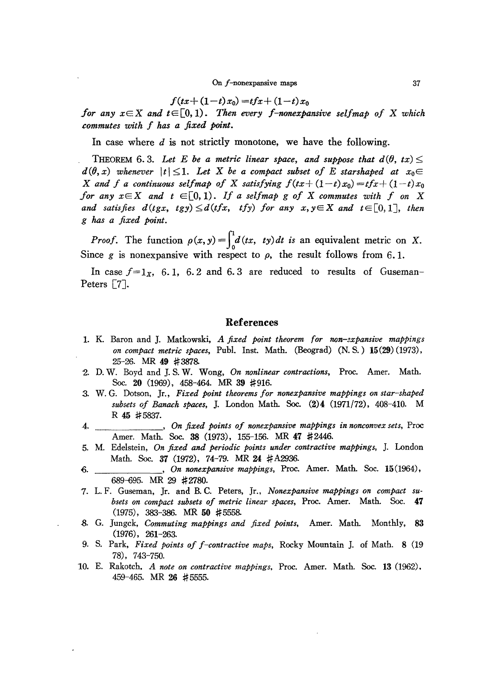$$
f(tx+(1-t)x_0) = tfx+(1-t)x_0
$$

*for* any  $x \in X$  and  $t \in [0, 1)$ . Then every *f*-nonexpansive selfmap of X which *commutes with f has a fixed point.*

In case where  $d$  is not strictly monotone, we have the following.

THEOREM 6.3. Let E be a metric linear space, and suppose that  $d(\theta, tx)$  $d(\theta, x)$  whenever  $|t| \leq 1$ . Let X be a compact subset of E starshaped at  $x_0 \in$ X and f a continuous selfmap of X satisfying  $f(tx+(1-t)x_0)=tfx+(1-t)x_0$ *for* any  $x \in X$  and  $t \in [0, 1)$ . If a selfmap g of X commutes with f on X and satisfies  $d(tgx, tgy) \leq d(tfx, tfy)$  for any  $x, y \in X$  and  $t \in [0,1]$ , then g has *a fixed point.*

*Proof.* The function  $\rho(x, y) = \int_0^1 d(tx, ty) dt$  *is* an equivalent metric on X. Since g is nonexpansive with respect to  $\rho$ , the result follows from 6.1.

In case  $f=1_x$ , 6.1, 6.2 and 6.3 are reduced to results of Guseman-Peters [7J.

## References

- 1. K. Baron and J. Matkowski, *A fixed point theorem for non-3xpansive mappings on compact metric spaces,* Pub!. Inst. Math. (Beograd) (N. S.) 15(29) (1973), 25-26. MR 49 #3878-
- 2. D. W. Boyd and J. S. W. Wong, *On nonlinear contractions,* Proc. Amer. Math. Soc. 20 (1969), 458-464. MR 39 #916.
- 3. W. G. Dotson, Jr., *Fixed point theorems for nonexpansive mappings on star-shaped subsets of Banach spaces,* J. London Math. Soc. (2)4 (1971/72), 408-410. M R 45 #5837.
- 4. , *On fixed points of nonexpansive mappings in nonconvex sets,* Proc Amer. Math. Soc. 38 (1973), 155-156. MR 47 #2446.
- 5. M. Edelstein, *On fixed and periodic points under contractive mappings,* ]. London Math. Soc. 37 (1972), 74-79. MR 24 #A2936.
- 6. , *On nonexpansive mappings,* Proc. Amer. Math. Soc. 15(1964), 689-695. MR 29 # 2780.
- '7. L. F. Guseman, Jr. and B. C. Peters, Jr., *Nonexpansive mappings on compact subsets on compact subsets of metric linear spaces,* Proc. Amer. Math. Soc. 47 (1975), 383-386. MR 50 #5558-
- 8. G. Jungck, *Commuting mappings and fixed points,* Amer. Math. Monthly, 83 (1976), 261-263.
- 9. S. Park, *Fixed points of f-contractive maps,* Rocky Mountain J. of Math. 8 (19 78), 743-750.
- 10. E. Rakotch, *A note on contractive mappings,* Proc. Amer. Math. Soc. 13 (1962). 459-465. MR 26 # 5555.